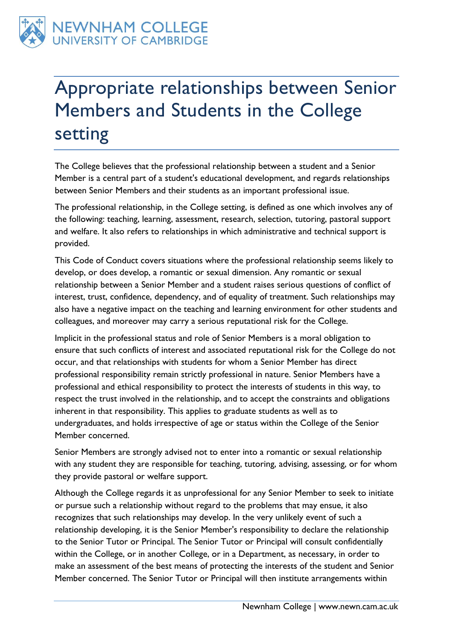

## Appropriate relationships between Senior Members and Students in the College setting

The College believes that the professional relationship between a student and a Senior Member is a central part of a student's educational development, and regards relationships between Senior Members and their students as an important professional issue.

The professional relationship, in the College setting, is defined as one which involves any of the following: teaching, learning, assessment, research, selection, tutoring, pastoral support and welfare. It also refers to relationships in which administrative and technical support is provided.

This Code of Conduct covers situations where the professional relationship seems likely to develop, or does develop, a romantic or sexual dimension. Any romantic or sexual relationship between a Senior Member and a student raises serious questions of conflict of interest, trust, confidence, dependency, and of equality of treatment. Such relationships may also have a negative impact on the teaching and learning environment for other students and colleagues, and moreover may carry a serious reputational risk for the College.

Implicit in the professional status and role of Senior Members is a moral obligation to ensure that such conflicts of interest and associated reputational risk for the College do not occur, and that relationships with students for whom a Senior Member has direct professional responsibility remain strictly professional in nature. Senior Members have a professional and ethical responsibility to protect the interests of students in this way, to respect the trust involved in the relationship, and to accept the constraints and obligations inherent in that responsibility. This applies to graduate students as well as to undergraduates, and holds irrespective of age or status within the College of the Senior Member concerned.

Senior Members are strongly advised not to enter into a romantic or sexual relationship with any student they are responsible for teaching, tutoring, advising, assessing, or for whom they provide pastoral or welfare support.

Although the College regards it as unprofessional for any Senior Member to seek to initiate or pursue such a relationship without regard to the problems that may ensue, it also recognizes that such relationships may develop. In the very unlikely event of such a relationship developing, it is the Senior Member's responsibility to declare the relationship to the Senior Tutor or Principal. The Senior Tutor or Principal will consult confidentially within the College, or in another College, or in a Department, as necessary, in order to make an assessment of the best means of protecting the interests of the student and Senior Member concerned. The Senior Tutor or Principal will then institute arrangements within